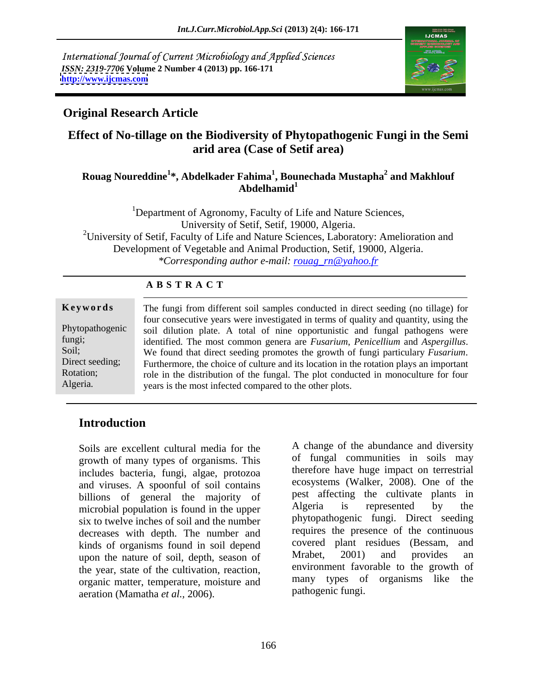International Journal of Current Microbiology and Applied Sciences *ISSN: 2319-7706* **Volume 2 Number 4 (2013) pp. 166-171 <http://www.ijcmas.com>**



## **Original Research Article**

# **Effect of No-tillage on the Biodiversity of Phytopathogenic Fungi in the Semi arid area (Case of Setif area)**

### **Rouag Noureddine<sup>1</sup> \*, Abdelkader Fahima<sup>1</sup> , Bounechada Mustapha<sup>2</sup> and Makhlouf Abdelhamid<sup>1</sup>**

<sup>1</sup>Department of Agronomy, Faculty of Life and Nature Sciences, University of Setif, Setif, 19000, Algeria. <sup>2</sup>University of Setif, Faculty of Life and Nature Sciences, Laboratory: Amelioration and Development of Vegetable and Animal Production, Setif, 19000, Algeria. *\*Corresponding author e-mail: rouag\_rn@yahoo.fr*

| <b>ABSTRACT</b> |  |  |
|-----------------|--|--|
|-----------------|--|--|

| Keywords        | The fungi from different soil samples conducted in direct seeding (no tillage) for           |
|-----------------|----------------------------------------------------------------------------------------------|
|                 | four consecutive years were investigated in terms of quality and quantity, using the         |
|                 | Phytopathogenic soil dilution plate. A total of nine opportunistic and fungal pathogens were |
| fungi;          | identified. The most common genera are Fusarium, Penicellium and Aspergillus.                |
| Soil;           | We found that direct seeding promotes the growth of fungi particulary Fusarium.              |
| Direct seeding; | Furthermore, the choice of culture and its location in the rotation plays an important       |
| Rotation;       | role in the distribution of the fungal. The plot conducted in monoculture for four           |
| Algeria.        | years is the most infected compared to the other plots.                                      |
|                 |                                                                                              |

# **Introduction**

Soils are excellent cultural media for the growth of many types of organisms. This includes bacteria, fungi, algae, protozoa and viruses. A spoonful of soil contains billions of general the majority of the pest affecting the cultivate plants in microbial population is found in the upper and Algeria is represented by the microbial population is found in the upper six to twelve inches of soil and the number decreases with depth. The number and kinds of organisms found in soil depend<br>when the nature of soil depth season of Mrabet, 2001) and provides an upon the nature of soil, depth, season of the year, state of the cultivation, reaction, organic matter, temperature, moisture and aeration (Mamatha *et al.,* 2006).

A change of the abundance and diversity of fungal communities in soils may therefore have huge impact on terrestrial ecosystems (Walker, 2008). One of the pest affecting the cultivate plants in Algeria is represented by the phytopathogenic fungi. Direct seeding requires the presence of the continuous covered plant residues (Bessam, and Mrabet, 2001) and provides an environment favorable to the growth of many types of organisms like the pathogenic fungi.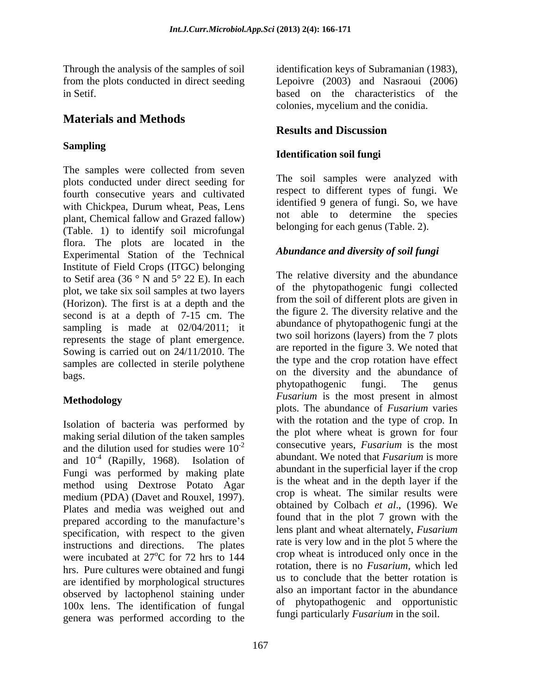# **Materials and Methods**

### **Sampling**

The samples were collected from seven plots conducted under direct seeding for fourth consecutive years and cultivated with Chickpea, Durum wheat, Peas, Lens plant, Chemical fallow and Grazed fallow) (Table. 1) to identify soil microfungal flora. The plots are located in the Experimental Station of the Technical Institute of Field Crops (ITGC) belonging to Setif area (36 ° N and 5° 22 E). In each plot, we take six soil samples at two layers (Horizon). The first is at a depth and the second is at a depth of 7-15 cm. The sampling is made at 02/04/2011; it represents the stage of plant emergence. Sowing is carried out on 24/11/2010. The samples are collected in sterile polythene

Isolation of bacteria was performed by making serial dilution of the taken samples and the dilution used for studies were  $10^{-2}$ and  $10^{-4}$  (Rapilly, 1968). Isolation of abundant we noted that *Fusarium* is more Fungi was performed by making plate method using Dextrose Potato Agar medium (PDA) (Davet and Rouxel, 1997). Plates and media was weighed out and prepared according to the manufacture's specification, with respect to the given instructions and directions. The plates were incubated at 27<sup>o</sup>C for 72 hrs to 144 hrs. Pure cultures were obtained and fungi are identified by morphological structures observed by lactophenol staining under 100x lens. The identification of fungal genera was performed according to the

Through the analysis of the samples of soil identification keys of Subramanian (1983), from the plots conducted in direct seeding Lepoivre (2003) and Nasraoui (2006) in Setif. based on the characteristics of the colonies, mycelium and the conidia.

# **Results and Discussion**

### **Identification soil fungi**

The soil samples were analyzed with respect to different types of fungi. We identified 9 genera of fungi. So, we have not able to determine the species belonging for each genus (Table. 2).

### *Abundance and diversity of soil fungi*

bags. The diversity and the diversity and the abundance of bags. **Methodology and the state of the state of the state of the state of the state of the state of the state of the state of the state of the state of the state of the state of the state of the state of the state of the stat** -2 consecutive years, *Fusarium* is the most <sup>4</sup> (Rapilly 1968) Isolation of abundant. We noted that *Fusarium* is more  $\degree$ C for 72 hrs to 144 crop wheat is introduced only once in the The relative diversity and the abundance of the phytopathogenic fungi collected from the soil of different plots are given in the figure 2. The diversity relative and the abundance of phytopathogenic fungiat the two soil horizons (layers) from the 7 plots are reported in the figure 3. We noted that the type and the crop rotation have effect phytopathogenic fungi. The genus *Fusarium* is the most present in almost plots. The abundance of *Fusarium* varies with the rotation and the type of crop. In the plot where wheat is grown for four abundant in the superficial layer if the crop is the wheat and in the depth layer if the crop is wheat. The similar results were obtained by Colbach *et al*., (1996). We found that in the plot 7 grown with the lens plant and wheat alternately,*Fusarium* rate is very low and in the plot 5 where the crop wheat is introduced only once in the rotation, there is no *Fusarium*, which led us to conclude that the better rotation is also an important factor in the abundance of phytopathogenic and opportunistic fungi particularly *Fusarium* in the soil.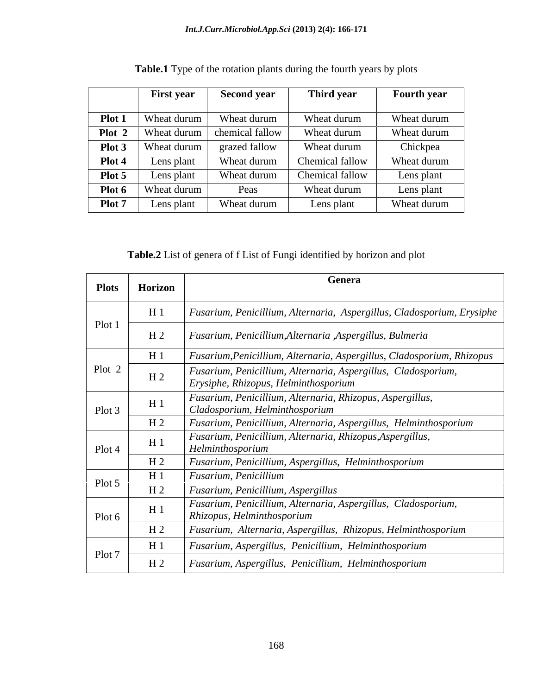|                | <b>First year</b>           | <b>Second year</b>                            | Third year      | <b>Fourth year</b> |
|----------------|-----------------------------|-----------------------------------------------|-----------------|--------------------|
|                |                             | <b>Plot 1</b>   Wheat durum   Wheat durum     | Wheat durum     | Wheat durum        |
|                |                             | <b>Plot 2</b>   Wheat durum   chemical fallow | Wheat durum     | Wheat durum        |
|                | <b>Plot 3</b>   Wheat durum | grazed fallow                                 | Wheat durum     | Chickpea           |
| Plot 4 $\vert$ | Lens plant                  | Wheat durum                                   | Chemical fallow | Wheat durum        |
| Plot 5 $\vert$ | Lens plant                  | Wheat durum                                   | Chemical fallow | Lens plant         |
|                | <b>Plot 6</b>   Wheat durum | Peas                                          | Wheat durum     | Lens plant         |
| Plot 7 $\vert$ | Lens plant                  | Wheat durum                                   | Lens plant      | Wheat durum        |

**Table.1** Type of the rotation plants during the fourth years by plots

**Table.2** List of genera of f List of Fungi identified by horizon and plot

| Plots  | Horizon        |                                                                                                       |
|--------|----------------|-------------------------------------------------------------------------------------------------------|
|        | $H_1$          | Fusarium, Penicillium, Alternaria, Aspergillus, Cladosporium, Erysiphe                                |
| Plot 1 | H <sub>2</sub> | Fusarium, Penicillium, Alternaria , Aspergillus, Bulmeria                                             |
|        | $H_1$          | Fusarium, Penicillium, Alternaria, Aspergillus, Cladosporium, Rhizopus                                |
| Plot 2 | H <sub>2</sub> | Fusarium, Penicillium, Alternaria, Aspergillus, Cladosporium,<br>Erysiphe, Rhizopus, Helminthosporium |
| Plot 3 | $H_1$          | Fusarium, Penicillium, Alternaria, Rhizopus, Aspergillus,<br>Cladosporium, Helminthosporium           |
|        | H <sub>2</sub> | Fusarium, Penicillium, Alternaria, Aspergillus, Helminthosporium                                      |
| Plot 4 | $H_1$          | Fusarium, Penicillium, Alternaria, Rhizopus, Aspergillus,<br>Helminthosporium                         |
|        | H <sub>2</sub> | Fusarium, Penicillium, Aspergillus, Helminthosporium                                                  |
| Plot 5 | $H_1$          | Fusarium, Penicillium                                                                                 |
|        | H <sub>2</sub> | Fusarium, Penicillium, Aspergillus                                                                    |
| Plot 6 | $H_1$          | Fusarium, Penicillium, Alternaria, Aspergillus, Cladosporium,<br>Rhizopus, Helminthosporium           |
|        | H <sub>2</sub> | Fusarium, Alternaria, Aspergillus, Rhizopus, Helminthosporium                                         |
| Plot 7 | $H_1$          | Fusarium, Aspergillus, Penicillium, Helminthosporium                                                  |
|        | H <sub>2</sub> | Fusarium, Aspergillus, Penicillium, Helminthosporium                                                  |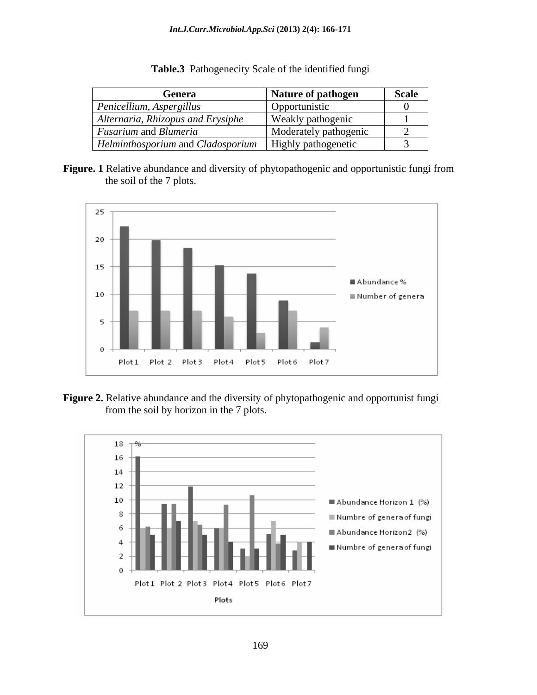| Genera                                                                | Nature of pathogen    | Scale |
|-----------------------------------------------------------------------|-----------------------|-------|
| $\vert$ Penicellium, Aspergillus                                      | Opportunistic         |       |
| Alternaria, Rhizopus and Erysiphe                                     | Weakly pathogenic     |       |
| <i>Fusarium</i> and <i>Blumeria</i>                                   | Moderately pathogenic |       |
| <i>Helminthosporium</i> and <i>Cladosporium</i>   Highly pathogenetic |                       |       |

**Table.3** Pathogenecity Scale of the identified fungi

**Figure. 1** Relative abundance and diversity of phytopathogenic and opportunistic fungi from the soil of the 7 plots.





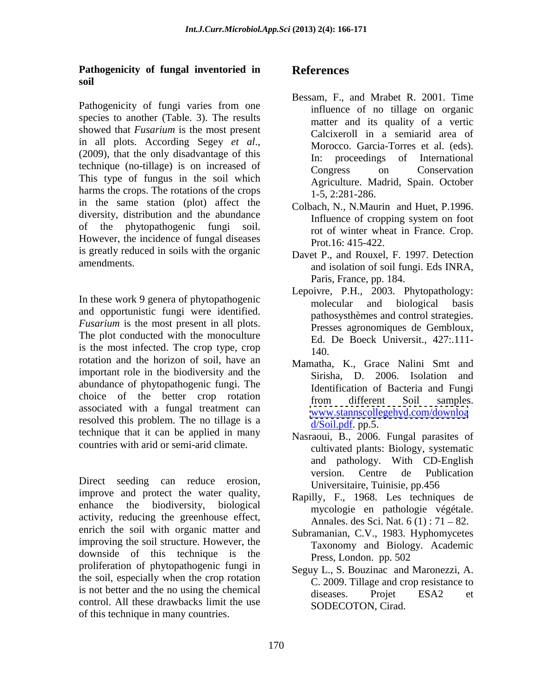### **Pathogenicity of fungal inventoried in soil**

Pathogenicity of fungi varies from one species to another (Table. 3). The results showed that *Fusarium* is the most present technique (no-tillage) is on increased of Congress on Conservation This type of fungus in the soil which harms the crops. The rotations of the crops in the same station (plot) affect the diversity, distribution and the abundance<br>Influence of cropping system on foot of the phytopathogenic fungi soil. However, the incidence of fungal diseases is greatly reduced in soils with the organic

In these work 9 genera of phytopathogenic<br>molecular and biological basis and opportunistic fungi were identified. *Fusarium* is the most present in all plots. The plot conducted with the monoculture is the most infected. The crop type, crop  $\frac{2a}{140}$ . rotation and the horizon of soil, have an important role in the biodiversity and the abundance of phytopathogenic fungi. The choice of the better crop rotation from different Soil samples. associated with a fungal treatment can resolved this problem. The no tillage is a technique that it can be applied in many countries with arid or semi-arid climate.

improve and protect the water quality, enhance the biodiversity, biological mycologie en pathologie végétale. activity, reducing the greenhouse effect, enrich the soil with organic matter and improving the soil structure. However, the downside of this technique is the proliferation of phytopathogenic fungi in the soil, especially when the crop rotation is not better and the no using the chemical diseases. Projet ESA2 et control. All these drawbacks limit the use of this technique in many countries.

### **References**

- in all plots. According Segey *et al.*,<br>(2009), that the only disadvantage of this  $\frac{1}{2}$  in proceedings of International Bessam, F., and Mrabet R. 2001. Time influence of no tillage on organic matter and its quality of a vertic Calcixeroll in a semiarid area of Morocco. Garcia-Torres et al. (eds). In: proceedings of International Congress on Conservation Agriculture. Madrid, Spain. October 1-5, 2:281-286.
	- Colbach, N.*,* N.Maurin and Huet, P.1996. Influence of cropping system on foot rot of winter wheat in France. Crop. Prot.16: 415-422.
- amendments.<br>
and isolation of soil fungi. Eds INRA, Davet P., and Rouxel, F. 1997. Detection Paris, France, pp. 184.
	- Lepoivre, P.H., 2003. Phytopathology: molecular and biological basis pathosysthèmes and control strategies. Presses agronomiques de Gembloux, Ed. De Boeck Universit., 427:.111- 140.
	- Mamatha, K., Grace Nalini Smt and Sirisha, D. 2006. Isolation and Identification of Bacteria and Fungi from different Soil samples. [www.stannscollegehyd.com/downloa](http://www.stannscollegehyd.com/downloa) d/Soil.pdf. pp.5.
- Direct seeding can reduce erosion, <br>Direct seeding can reduce erosion, <br>Direct seeding can reduce erosion, <br>Direct seeding can reduce erosion, <br>Direct seeding can reduce erosion, Nasraoui, B., 2006. Fungal parasites of cultivated plants: Biology, systematic and pathology. With CD-English version. Centre de Publication Universitaire, Tuinisie, pp.456
	- Rapilly, F., 1968. Les techniques de Annales. des Sci. Nat.  $6(1)$ :  $71 - 82$ .
	- Subramanian, C.V., 1983. Hyphomycetes Taxonomy and Biology. Academic Press, London. pp. 502
	- Seguy L., S. Bouzinac and Maronezzi, A. C. 2009. Tillage and crop resistance to diseases. Projet ESA2 et SODECOTON, Cirad.